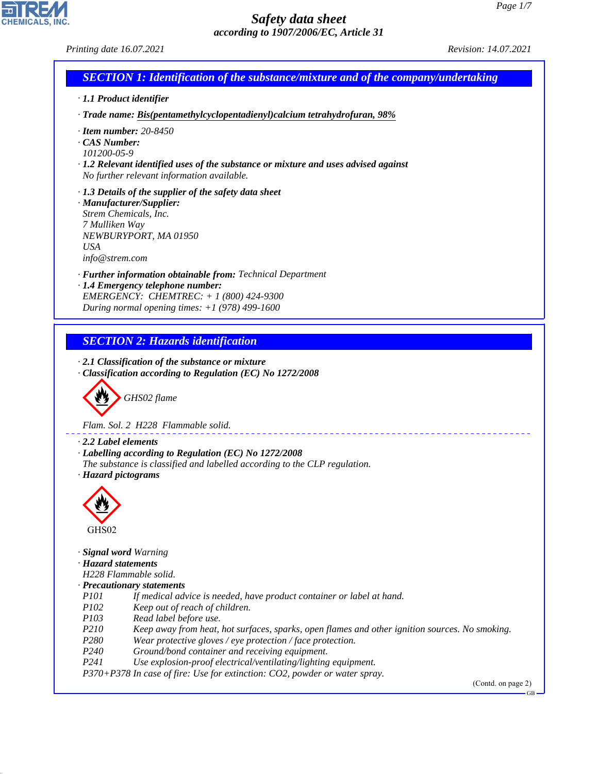**EDIREALS** 

44.1.1

| Printing date 16.07.2021                                                                                                                                                                                                                                                                                                                                                                                                                                 | Revision: 14.07.2021            |
|----------------------------------------------------------------------------------------------------------------------------------------------------------------------------------------------------------------------------------------------------------------------------------------------------------------------------------------------------------------------------------------------------------------------------------------------------------|---------------------------------|
| <b>SECTION 1: Identification of the substance/mixture and of the company/undertaking</b>                                                                                                                                                                                                                                                                                                                                                                 |                                 |
| · 1.1 Product identifier                                                                                                                                                                                                                                                                                                                                                                                                                                 |                                 |
| · Trade name: Bis(pentamethylcyclopentadienyl)calcium tetrahydrofuran, 98%                                                                                                                                                                                                                                                                                                                                                                               |                                 |
| $\cdot$ Item number: 20-8450<br>$\cdot$ CAS Number:<br>101200-05-9<br>$\cdot$ 1.2 Relevant identified uses of the substance or mixture and uses advised against<br>No further relevant information available.                                                                                                                                                                                                                                            |                                 |
| $\cdot$ 1.3 Details of the supplier of the safety data sheet<br>· Manufacturer/Supplier:<br>Strem Chemicals, Inc.<br>7 Mulliken Way<br>NEWBURYPORT, MA 01950<br><b>USA</b><br>info@strem.com                                                                                                                                                                                                                                                             |                                 |
| · Further information obtainable from: Technical Department                                                                                                                                                                                                                                                                                                                                                                                              |                                 |
| · 1.4 Emergency telephone number:<br>EMERGENCY: CHEMTREC: $+ 1 (800) 424 - 9300$<br>During normal opening times: $+1$ (978) 499-1600                                                                                                                                                                                                                                                                                                                     |                                 |
|                                                                                                                                                                                                                                                                                                                                                                                                                                                          |                                 |
| <b>SECTION 2: Hazards identification</b><br>$\cdot$ 2.1 Classification of the substance or mixture<br>· Classification according to Regulation (EC) No 1272/2008                                                                                                                                                                                                                                                                                         |                                 |
| GHS02 flame<br>Flam. Sol. 2 H228 Flammable solid.                                                                                                                                                                                                                                                                                                                                                                                                        |                                 |
| $\cdot$ 2.2 Label elements<br>· Labelling according to Regulation (EC) No 1272/2008<br>The substance is classified and labelled according to the CLP regulation.<br>· Hazard pictograms                                                                                                                                                                                                                                                                  |                                 |
|                                                                                                                                                                                                                                                                                                                                                                                                                                                          |                                 |
| GHS02                                                                                                                                                                                                                                                                                                                                                                                                                                                    |                                 |
| · Signal word Warning<br>· Hazard statements<br>H228 Flammable solid.<br>· Precautionary statements<br><i>P<sub>101</sub></i><br>If medical advice is needed, have product container or label at hand.<br><i>P102</i><br>Keep out of reach of children.                                                                                                                                                                                                  |                                 |
| P <sub>103</sub><br>Read label before use.<br>P210<br>Keep away from heat, hot surfaces, sparks, open flames and other ignition sources. No smoking.<br>P280<br>Wear protective gloves / eye protection / face protection.<br>P <sub>240</sub><br>Ground/bond container and receiving equipment.<br>P241<br>Use explosion-proof electrical/ventilating/lighting equipment.<br>P370+P378 In case of fire: Use for extinction: CO2, powder or water spray. |                                 |
|                                                                                                                                                                                                                                                                                                                                                                                                                                                          | (Contd. on page 2)<br><b>GB</b> |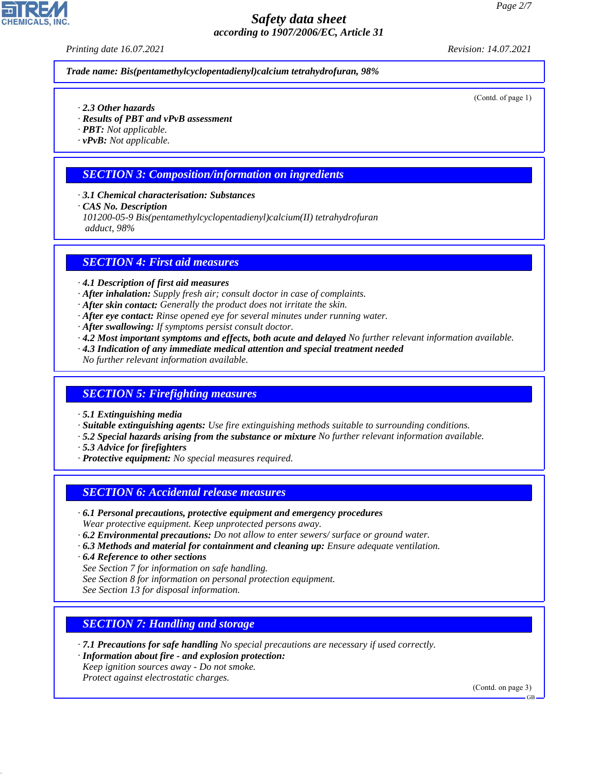*Printing date 16.07.2021 Revision: 14.07.2021*

*Trade name: Bis(pentamethylcyclopentadienyl)calcium tetrahydrofuran, 98%*

(Contd. of page 1)

- *· 2.3 Other hazards*
- *· Results of PBT and vPvB assessment*
- *· PBT: Not applicable.*
- *· vPvB: Not applicable.*

### *SECTION 3: Composition/information on ingredients*

- *· 3.1 Chemical characterisation: Substances*
- *· CAS No. Description*
- *101200-05-9 Bis(pentamethylcyclopentadienyl)calcium(II) tetrahydrofuran adduct, 98%*

#### *SECTION 4: First aid measures*

- *· 4.1 Description of first aid measures*
- *· After inhalation: Supply fresh air; consult doctor in case of complaints.*
- *· After skin contact: Generally the product does not irritate the skin.*
- *· After eye contact: Rinse opened eye for several minutes under running water.*
- *· After swallowing: If symptoms persist consult doctor.*
- *· 4.2 Most important symptoms and effects, both acute and delayed No further relevant information available.*
- *· 4.3 Indication of any immediate medical attention and special treatment needed*
- *No further relevant information available.*

#### *SECTION 5: Firefighting measures*

- *· 5.1 Extinguishing media*
- *· Suitable extinguishing agents: Use fire extinguishing methods suitable to surrounding conditions.*
- *· 5.2 Special hazards arising from the substance or mixture No further relevant information available.*
- *· 5.3 Advice for firefighters*
- *· Protective equipment: No special measures required.*

### *SECTION 6: Accidental release measures*

- *· 6.1 Personal precautions, protective equipment and emergency procedures Wear protective equipment. Keep unprotected persons away.*
- *· 6.2 Environmental precautions: Do not allow to enter sewers/ surface or ground water.*
- *· 6.3 Methods and material for containment and cleaning up: Ensure adequate ventilation.*
- *· 6.4 Reference to other sections*
- *See Section 7 for information on safe handling.*
- *See Section 8 for information on personal protection equipment.*
- *See Section 13 for disposal information.*

# *SECTION 7: Handling and storage*

- *· 7.1 Precautions for safe handling No special precautions are necessary if used correctly.*
- *· Information about fire and explosion protection:*
- *Keep ignition sources away Do not smoke.*
- *Protect against electrostatic charges.*

44.1.1

(Contd. on page 3)

GB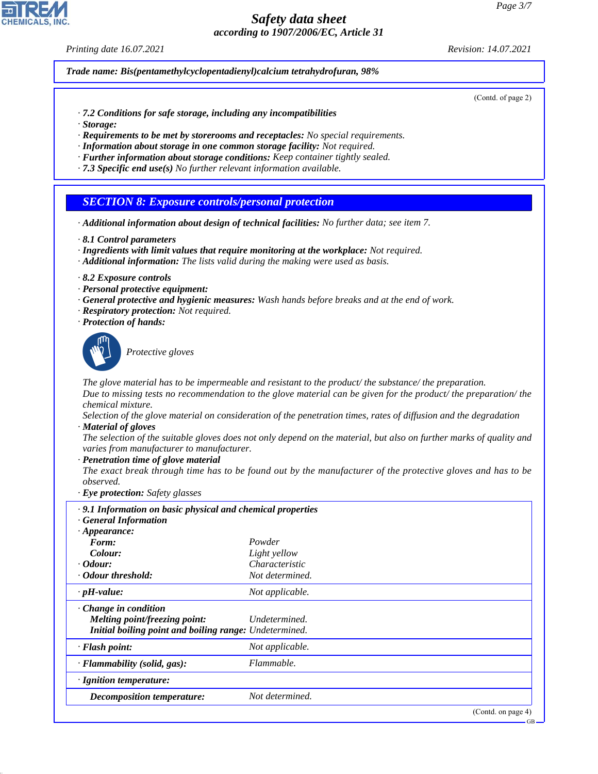*Printing date 16.07.2021 Revision: 14.07.2021*

*Trade name: Bis(pentamethylcyclopentadienyl)calcium tetrahydrofuran, 98%*

(Contd. of page 2)

- *· 7.2 Conditions for safe storage, including any incompatibilities*
- *· Storage:*
- *· Requirements to be met by storerooms and receptacles: No special requirements.*
- *· Information about storage in one common storage facility: Not required.*
- *· Further information about storage conditions: Keep container tightly sealed.*
- *· 7.3 Specific end use(s) No further relevant information available.*

#### *SECTION 8: Exposure controls/personal protection*

- *· Additional information about design of technical facilities: No further data; see item 7.*
- *· 8.1 Control parameters*
- *· Ingredients with limit values that require monitoring at the workplace: Not required.*
- *· Additional information: The lists valid during the making were used as basis.*
- *· 8.2 Exposure controls*
- *· Personal protective equipment:*
- *· General protective and hygienic measures: Wash hands before breaks and at the end of work.*
- *· Respiratory protection: Not required.*
- *· Protection of hands:*



44.1.1

\_S*Protective gloves*

*The glove material has to be impermeable and resistant to the product/ the substance/ the preparation.*

*Due to missing tests no recommendation to the glove material can be given for the product/ the preparation/ the chemical mixture.*

*Selection of the glove material on consideration of the penetration times, rates of diffusion and the degradation · Material of gloves*

*The selection of the suitable gloves does not only depend on the material, but also on further marks of quality and varies from manufacturer to manufacturer.*

*· Penetration time of glove material*

*The exact break through time has to be found out by the manufacturer of the protective gloves and has to be observed.*

*· Eye protection: Safety glasses*

| .9.1 Information on basic physical and chemical properties<br>· General Information |                 |                    |
|-------------------------------------------------------------------------------------|-----------------|--------------------|
| $\cdot$ Appearance:                                                                 |                 |                    |
| Form:                                                                               | Powder          |                    |
| Colour:                                                                             | Light yellow    |                    |
| $\cdot$ Odour:                                                                      | Characteristic  |                    |
| Odour threshold:                                                                    | Not determined. |                    |
| $\cdot$ pH-value:                                                                   | Not applicable. |                    |
| $\cdot$ Change in condition                                                         |                 |                    |
| Melting point/freezing point:                                                       | Undetermined.   |                    |
| Initial boiling point and boiling range: Undetermined.                              |                 |                    |
| $\cdot$ Flash point:                                                                | Not applicable. |                    |
| · Flammability (solid, gas):                                                        | Flammable.      |                    |
| $\cdot$ Ignition temperature:                                                       |                 |                    |
| Decomposition temperature:                                                          | Not determined. |                    |
|                                                                                     |                 | (Contd. on page 4) |

GB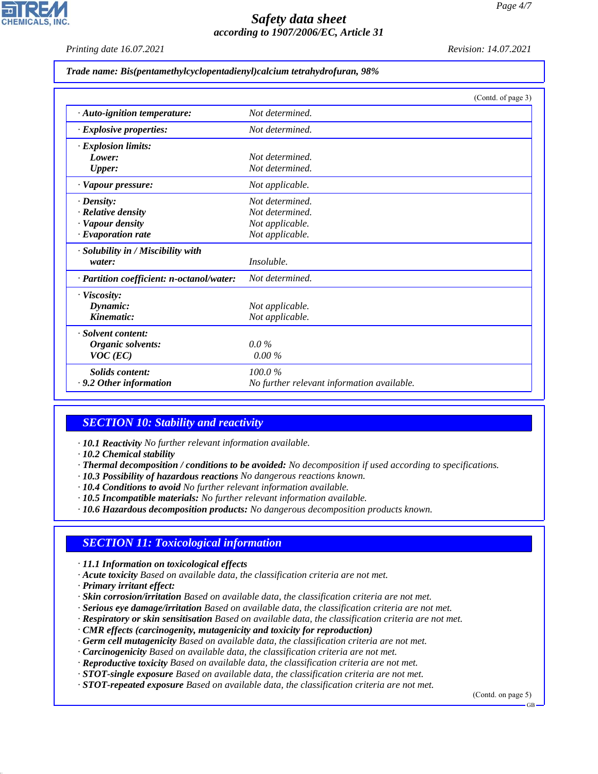*Printing date 16.07.2021 Revision: 14.07.2021*

|  |  | Trade name: Bis(pentamethylcyclopentadienyl)calcium tetrahydrofuran, 98% |  |
|--|--|--------------------------------------------------------------------------|--|
|  |  |                                                                          |  |

|                                           | (Contd. of page 3)                         |
|-------------------------------------------|--------------------------------------------|
| · Auto-ignition temperature:              | Not determined.                            |
| $\cdot$ Explosive properties:             | Not determined.                            |
| $\cdot$ Explosion limits:                 |                                            |
| Lower:                                    | Not determined.                            |
| <b>Upper:</b>                             | Not determined.                            |
| · Vapour pressure:                        | Not applicable.                            |
| $\cdot$ Density:                          | Not determined.                            |
| $\cdot$ Relative density                  | Not determined.                            |
| · Vapour density                          | Not applicable.                            |
| $\cdot$ Evaporation rate                  | Not applicable.                            |
| · Solubility in / Miscibility with        |                                            |
| water:                                    | <i>Insoluble.</i>                          |
| · Partition coefficient: n-octanol/water: | Not determined.                            |
| · Viscosity:                              |                                            |
| Dynamic:                                  | Not applicable.                            |
| Kinematic:                                | Not applicable.                            |
| · Solvent content:                        |                                            |
| Organic solvents:                         | $0.0\%$                                    |
| $VOC$ (EC)                                | $0.00\%$                                   |
| Solids content:                           | 100.0%                                     |
| $\cdot$ 9.2 Other information             | No further relevant information available. |

### *SECTION 10: Stability and reactivity*

*· 10.1 Reactivity No further relevant information available.*

- *· 10.2 Chemical stability*
- *· Thermal decomposition / conditions to be avoided: No decomposition if used according to specifications.*
- *· 10.3 Possibility of hazardous reactions No dangerous reactions known.*
- *· 10.4 Conditions to avoid No further relevant information available.*
- *· 10.5 Incompatible materials: No further relevant information available.*
- *· 10.6 Hazardous decomposition products: No dangerous decomposition products known.*

### *SECTION 11: Toxicological information*

*· 11.1 Information on toxicological effects*

- *· Acute toxicity Based on available data, the classification criteria are not met.*
- *· Primary irritant effect:*

44.1.1

- *· Skin corrosion/irritation Based on available data, the classification criteria are not met.*
- *· Serious eye damage/irritation Based on available data, the classification criteria are not met.*
- *· Respiratory or skin sensitisation Based on available data, the classification criteria are not met.*

*· CMR effects (carcinogenity, mutagenicity and toxicity for reproduction)*

- *· Germ cell mutagenicity Based on available data, the classification criteria are not met.*
- *· Carcinogenicity Based on available data, the classification criteria are not met.*

*· Reproductive toxicity Based on available data, the classification criteria are not met.*

- *· STOT-single exposure Based on available data, the classification criteria are not met.*
- *· STOT-repeated exposure Based on available data, the classification criteria are not met.*

(Contd. on page 5)

GB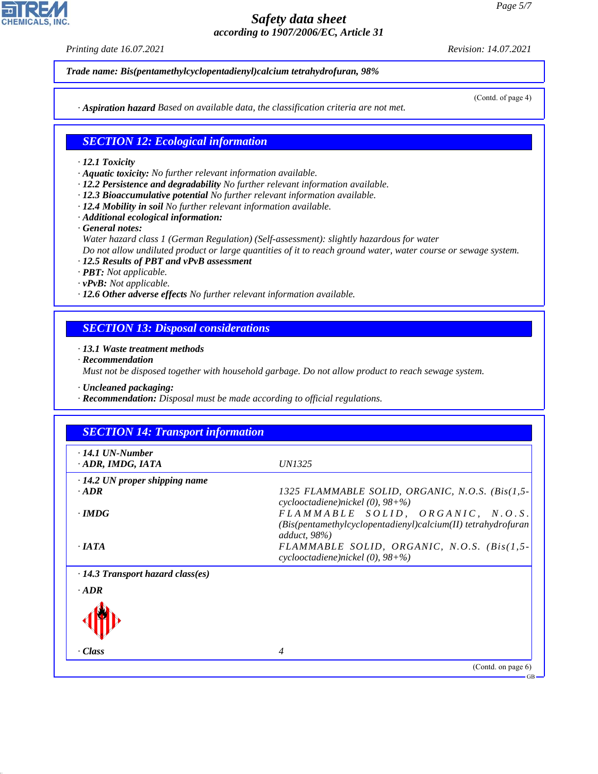*Printing date 16.07.2021 Revision: 14.07.2021*

*Trade name: Bis(pentamethylcyclopentadienyl)calcium tetrahydrofuran, 98%*

(Contd. of page 4)

*· Aspiration hazard Based on available data, the classification criteria are not met.*

# *SECTION 12: Ecological information*

- *· 12.1 Toxicity*
- *· Aquatic toxicity: No further relevant information available.*
- *· 12.2 Persistence and degradability No further relevant information available.*
- *· 12.3 Bioaccumulative potential No further relevant information available.*
- *· 12.4 Mobility in soil No further relevant information available.*
- *· Additional ecological information:*
- *· General notes:*
- *Water hazard class 1 (German Regulation) (Self-assessment): slightly hazardous for water Do not allow undiluted product or large quantities of it to reach ground water, water course or sewage system.*
- *· 12.5 Results of PBT and vPvB assessment*
- *· PBT: Not applicable.*
- *· vPvB: Not applicable.*
- *· 12.6 Other adverse effects No further relevant information available.*

# *SECTION 13: Disposal considerations*

- *· 13.1 Waste treatment methods*
- *· Recommendation*

*Must not be disposed together with household garbage. Do not allow product to reach sewage system.*

*· Uncleaned packaging:*

*· Recommendation: Disposal must be made according to official regulations.*

| $\cdot$ 14.1 UN-Number<br>· ADR, IMDG, IATA    | <i>UN1325</i>                                                                             |
|------------------------------------------------|-------------------------------------------------------------------------------------------|
|                                                |                                                                                           |
| $\cdot$ 14.2 UN proper shipping name<br>$-ADR$ |                                                                                           |
|                                                | 1325 FLAMMABLE SOLID, ORGANIC, N.O.S. (Bis(1,5-<br>cyclooctadiene)nickel $(0)$ , $98 + %$ |
| $\cdot$ IMDG                                   | FLAMMABLE SOLID, ORGANIC, N.O.S.                                                          |
|                                                | (Bis(pentamethylcyclopentadienyl)calcium(II) tetrahydrofuran                              |
|                                                | adduct, $98\%$                                                                            |
| $\cdot$ IATA                                   | FLAMMABLE SOLID, ORGANIC, N.O.S. (Bis(1,5-                                                |
|                                                | cyclooctadiene)nickel $(0)$ , $98 + %$                                                    |
| $\cdot$ 14.3 Transport hazard class(es)        |                                                                                           |
| $\cdot$ ADR                                    |                                                                                           |
|                                                |                                                                                           |
|                                                |                                                                                           |
|                                                |                                                                                           |
| · Class                                        | $\overline{4}$                                                                            |



44.1.1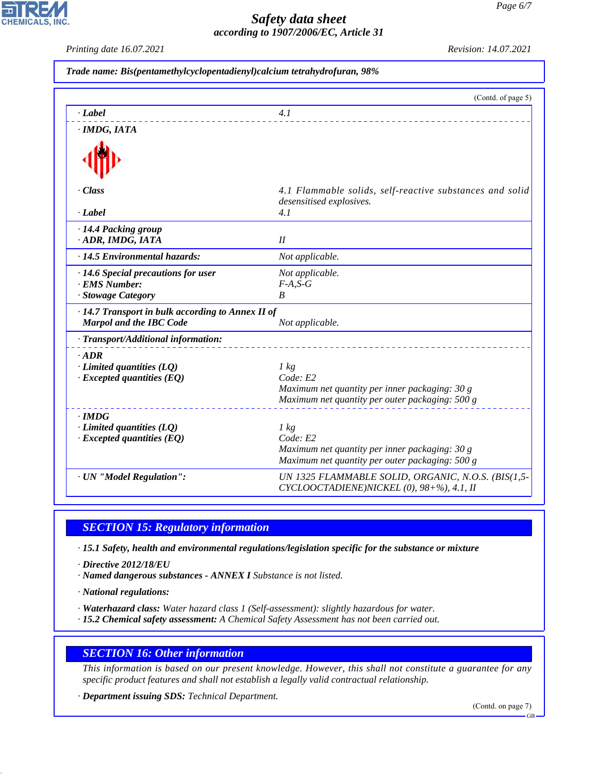*Printing date 16.07.2021 Revision: 14.07.2021*

**CHEMICALS.** 

|                                                                                     | (Contd. of page 5)                                                                   |
|-------------------------------------------------------------------------------------|--------------------------------------------------------------------------------------|
| $\cdot$ <i>Label</i>                                                                | 4.1                                                                                  |
| $\cdot$ IMDG, IATA                                                                  |                                                                                      |
|                                                                                     |                                                                                      |
| · Class                                                                             | 4.1 Flammable solids, self-reactive substances and solid<br>desensitised explosives. |
| · Label                                                                             | 4.1                                                                                  |
| · 14.4 Packing group<br>· ADR, IMDG, IATA                                           | I                                                                                    |
| · 14.5 Environmental hazards:                                                       | Not applicable.                                                                      |
| · 14.6 Special precautions for user                                                 | Not applicable.                                                                      |
| · EMS Number:                                                                       | $F-A, S-G$                                                                           |
| · Stowage Category                                                                  | B                                                                                    |
| · 14.7 Transport in bulk according to Annex II of<br><b>Marpol and the IBC Code</b> | Not applicable.                                                                      |
| · Transport/Additional information:                                                 |                                                                                      |
| $\cdot$ ADR                                                                         |                                                                                      |
| $\cdot$ Limited quantities (LQ)                                                     | $1 \text{ kg}$                                                                       |
| $\cdot$ Excepted quantities (EQ)                                                    | Code: E2                                                                             |
|                                                                                     | Maximum net quantity per inner packaging: 30 g                                       |
|                                                                                     | Maximum net quantity per outer packaging: 500 g                                      |
| $\cdot$ IMDG                                                                        |                                                                                      |
| $\cdot$ Limited quantities (LQ)<br>$\cdot$ Excepted quantities (EQ)                 | $1 \text{ kg}$<br>Code: E2                                                           |
|                                                                                     | Maximum net quantity per inner packaging: 30 g                                       |
|                                                                                     | Maximum net quantity per outer packaging: 500 g                                      |
| · UN "Model Regulation":                                                            | UN 1325 FLAMMABLE SOLID, ORGANIC, N.O.S. (BIS(1,5-                                   |
|                                                                                     | CYCLOOCTADIENE)NICKEL (0), 98+%), 4.1, II                                            |

# *SECTION 15: Regulatory information*

*· 15.1 Safety, health and environmental regulations/legislation specific for the substance or mixture*

*· Directive 2012/18/EU*

*· Named dangerous substances - ANNEX I Substance is not listed.*

*· National regulations:*

44.1.1

*· Waterhazard class: Water hazard class 1 (Self-assessment): slightly hazardous for water.*

*· 15.2 Chemical safety assessment: A Chemical Safety Assessment has not been carried out.*

### *SECTION 16: Other information*

*This information is based on our present knowledge. However, this shall not constitute a guarantee for any specific product features and shall not establish a legally valid contractual relationship.*

*· Department issuing SDS: Technical Department.*

(Contd. on page 7)

GB